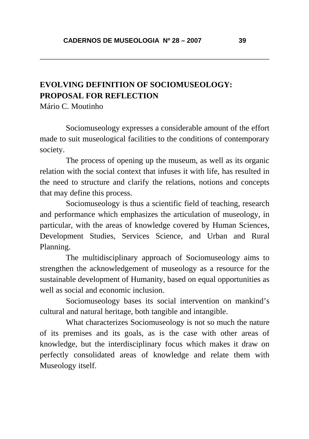## **EVOLVING DEFINITION OF SOCIOMUSEOLOGY: PROPOSAL FOR REFLECTION**

Mário C. Moutinho

Sociomuseology expresses a considerable amount of the effort made to suit museological facilities to the conditions of contemporary society.

The process of opening up the museum, as well as its organic relation with the social context that infuses it with life, has resulted in the need to structure and clarify the relations, notions and concepts that may define this process.

Sociomuseology is thus a scientific field of teaching, research and performance which emphasizes the articulation of museology, in particular, with the areas of knowledge covered by Human Sciences, Development Studies, Services Science, and Urban and Rural Planning.

The multidisciplinary approach of Sociomuseology aims to strengthen the acknowledgement of museology as a resource for the sustainable development of Humanity, based on equal opportunities as well as social and economic inclusion.

Sociomuseology bases its social intervention on mankind's cultural and natural heritage, both tangible and intangible.

What characterizes Sociomuseology is not so much the nature of its premises and its goals, as is the case with other areas of knowledge, but the interdisciplinary focus which makes it draw on perfectly consolidated areas of knowledge and relate them with Museology itself.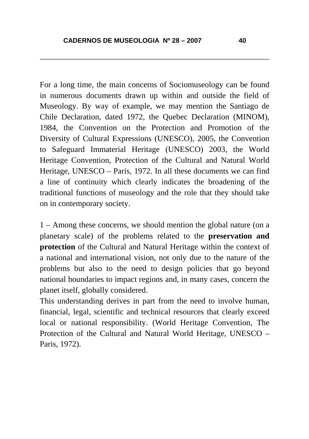For a long time, the main concerns of Sociomuseology can be found in numerous documents drawn up within and outside the field of Museology. By way of example, we may mention the Santiago de Chile Declaration, dated 1972, the Quebec Declaration (MINOM), 1984, the Convention on the Protection and Promotion of the Diversity of Cultural Expressions (UNESCO), 2005, the Convention to Safeguard Immaterial Heritage (UNESCO) 2003, the World Heritage Convention, Protection of the Cultural and Natural World Heritage, UNESCO – Paris, 1972. In all these documents we can find a line of continuity which clearly indicates the broadening of the traditional functions of museology and the role that they should take on in contemporary society.

1 – Among these concerns, we should mention the global nature (on a planetary scale) of the problems related to the **preservation and protection** of the Cultural and Natural Heritage within the context of a national and international vision, not only due to the nature of the problems but also to the need to design policies that go beyond national boundaries to impact regions and, in many cases, concern the planet itself, globally considered.

This understanding derives in part from the need to involve human, financial, legal, scientific and technical resources that clearly exceed local or national responsibility. (World Heritage Convention, The Protection of the Cultural and Natural World Heritage, UNESCO – Paris, 1972).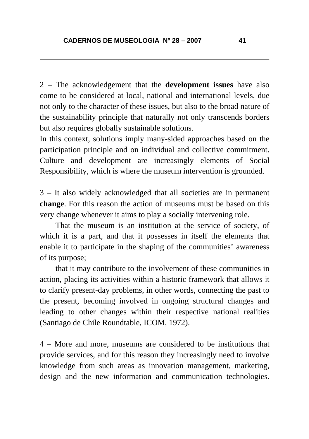2 – The acknowledgement that the **development issues** have also come to be considered at local, national and international levels, due not only to the character of these issues, but also to the broad nature of the sustainability principle that naturally not only transcends borders but also requires globally sustainable solutions.

In this context, solutions imply many-sided approaches based on the participation principle and on individual and collective commitment. Culture and development are increasingly elements of Social Responsibility, which is where the museum intervention is grounded.

3 – It also widely acknowledged that all societies are in permanent **change**. For this reason the action of museums must be based on this very change whenever it aims to play a socially intervening role.

That the museum is an institution at the service of society, of which it is a part, and that it possesses in itself the elements that enable it to participate in the shaping of the communities' awareness of its purpose;

that it may contribute to the involvement of these communities in action, placing its activities within a historic framework that allows it to clarify present-day problems, in other words, connecting the past to the present, becoming involved in ongoing structural changes and leading to other changes within their respective national realities (Santiago de Chile Roundtable, ICOM, 1972).

4 – More and more, museums are considered to be institutions that provide services, and for this reason they increasingly need to involve knowledge from such areas as innovation management, marketing, design and the new information and communication technologies.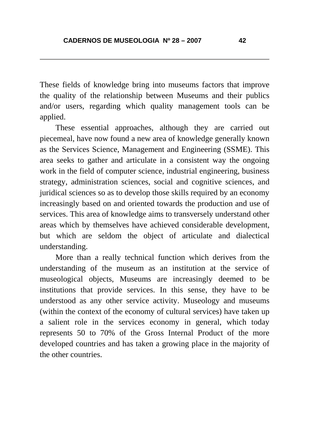These fields of knowledge bring into museums factors that improve the quality of the relationship between Museums and their publics and/or users, regarding which quality management tools can be applied.

 These essential approaches, although they are carried out piecemeal, have now found a new area of knowledge generally known as the Services Science, Management and Engineering (SSME). This area seeks to gather and articulate in a consistent way the ongoing work in the field of computer science, industrial engineering, business strategy, administration sciences, social and cognitive sciences, and juridical sciences so as to develop those skills required by an economy increasingly based on and oriented towards the production and use of services. This area of knowledge aims to transversely understand other areas which by themselves have achieved considerable development, but which are seldom the object of articulate and dialectical understanding.

 More than a really technical function which derives from the understanding of the museum as an institution at the service of museological objects, Museums are increasingly deemed to be institutions that provide services. In this sense, they have to be understood as any other service activity. Museology and museums (within the context of the economy of cultural services) have taken up a salient role in the services economy in general, which today represents 50 to 70% of the Gross Internal Product of the more developed countries and has taken a growing place in the majority of the other countries.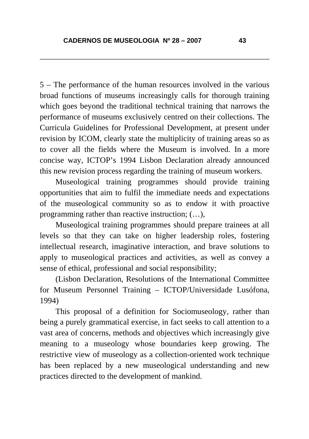5 – The performance of the human resources involved in the various broad functions of museums increasingly calls for thorough training which goes beyond the traditional technical training that narrows the performance of museums exclusively centred on their collections. The Curricula Guidelines for Professional Development, at present under revision by ICOM, clearly state the multiplicity of training areas so as to cover all the fields where the Museum is involved. In a more concise way, ICTOP's 1994 Lisbon Declaration already announced this new revision process regarding the training of museum workers.

Museological training programmes should provide training opportunities that aim to fulfil the immediate needs and expectations of the museological community so as to endow it with proactive programming rather than reactive instruction; (…),

Museological training programmes should prepare trainees at all levels so that they can take on higher leadership roles, fostering intellectual research, imaginative interaction, and brave solutions to apply to museological practices and activities, as well as convey a sense of ethical, professional and social responsibility;

(Lisbon Declaration, Resolutions of the International Committee for Museum Personnel Training – ICTOP/Universidade Lusófona, 1994)

 This proposal of a definition for Sociomuseology, rather than being a purely grammatical exercise, in fact seeks to call attention to a vast area of concerns, methods and objectives which increasingly give meaning to a museology whose boundaries keep growing. The restrictive view of museology as a collection-oriented work technique has been replaced by a new museological understanding and new practices directed to the development of mankind.